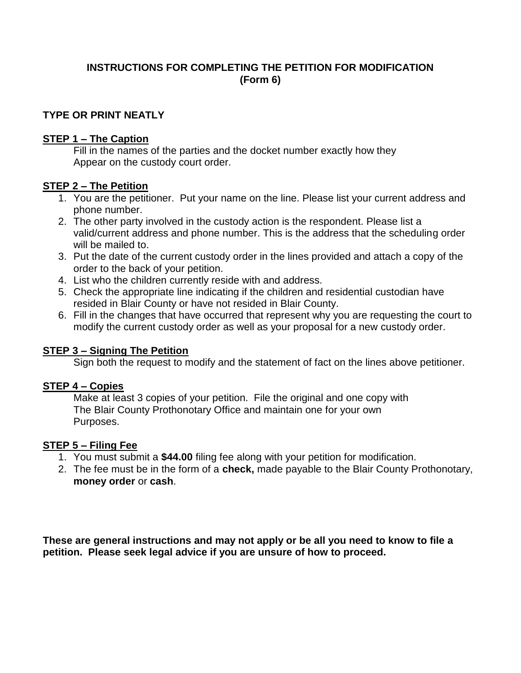## **INSTRUCTIONS FOR COMPLETING THE PETITION FOR MODIFICATION (Form 6)**

### **TYPE OR PRINT NEATLY**

#### **STEP 1 – The Caption**

Fill in the names of the parties and the docket number exactly how they Appear on the custody court order.

#### **STEP 2 – The Petition**

- 1. You are the petitioner. Put your name on the line. Please list your current address and phone number.
- 2. The other party involved in the custody action is the respondent. Please list a valid/current address and phone number. This is the address that the scheduling order will be mailed to.
- 3. Put the date of the current custody order in the lines provided and attach a copy of the order to the back of your petition.
- 4. List who the children currently reside with and address.
- 5. Check the appropriate line indicating if the children and residential custodian have resided in Blair County or have not resided in Blair County.
- 6. Fill in the changes that have occurred that represent why you are requesting the court to modify the current custody order as well as your proposal for a new custody order.

#### **STEP 3 – Signing The Petition**

Sign both the request to modify and the statement of fact on the lines above petitioner.

#### **STEP 4 – Copies**

 Make at least 3 copies of your petition. File the original and one copy with The Blair County Prothonotary Office and maintain one for your own Purposes.

#### **STEP 5 – Filing Fee**

- 1. You must submit a **\$44.00** filing fee along with your petition for modification.
- 2. The fee must be in the form of a **check,** made payable to the Blair County Prothonotary, **money order** or **cash**.

**These are general instructions and may not apply or be all you need to know to file a petition. Please seek legal advice if you are unsure of how to proceed.**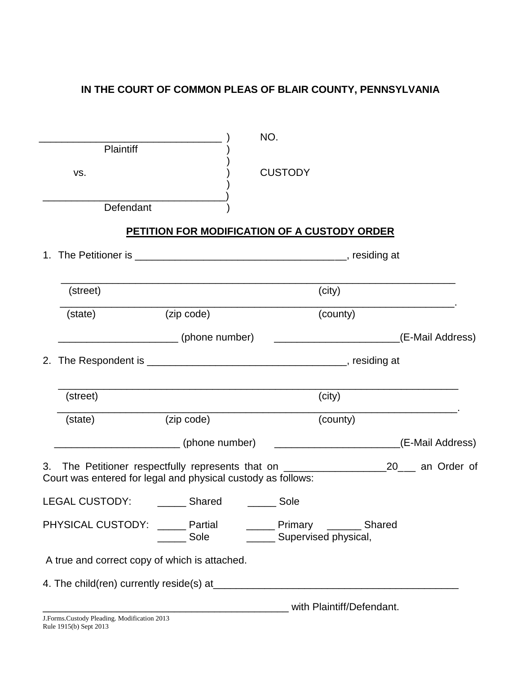# **IN THE COURT OF COMMON PLEAS OF BLAIR COUNTY, PENNSYLVANIA**

|                       |                                                                                                                                                                     | NO.                       |                                                  |  |
|-----------------------|---------------------------------------------------------------------------------------------------------------------------------------------------------------------|---------------------------|--------------------------------------------------|--|
| Plaintiff             |                                                                                                                                                                     |                           |                                                  |  |
| VS.                   |                                                                                                                                                                     | <b>CUSTODY</b>            |                                                  |  |
| Defendant             |                                                                                                                                                                     |                           |                                                  |  |
|                       |                                                                                                                                                                     |                           |                                                  |  |
|                       | PETITION FOR MODIFICATION OF A CUSTODY ORDER                                                                                                                        |                           |                                                  |  |
| 1.                    |                                                                                                                                                                     |                           |                                                  |  |
|                       |                                                                                                                                                                     |                           |                                                  |  |
| (street)              |                                                                                                                                                                     |                           | (city)                                           |  |
| (state)               | (zip code)                                                                                                                                                          |                           | (county)                                         |  |
|                       |                                                                                                                                                                     |                           |                                                  |  |
| 2.                    |                                                                                                                                                                     |                           |                                                  |  |
|                       |                                                                                                                                                                     |                           |                                                  |  |
| (street)              |                                                                                                                                                                     |                           | (city)                                           |  |
| (state)               | (zip code)                                                                                                                                                          |                           | (county)                                         |  |
|                       | (phone number)                                                                                                                                                      |                           | ________________________________(E-Mail Address) |  |
|                       | 3. The Petitioner respectfully represents that on _______________________________20____ an Order of<br>Court was entered for legal and physical custody as follows: |                           |                                                  |  |
| <b>LEGAL CUSTODY:</b> | Shared                                                                                                                                                              | Sole                      |                                                  |  |
|                       | PHYSICAL CUSTODY: ______ Partial ________ Primary _______ Shared<br>Sole ________ Sole _______ Supervised physical,                                                 |                           |                                                  |  |
|                       | A true and correct copy of which is attached.                                                                                                                       |                           |                                                  |  |
|                       |                                                                                                                                                                     |                           |                                                  |  |
|                       |                                                                                                                                                                     | with Plaintiff/Defendant. |                                                  |  |